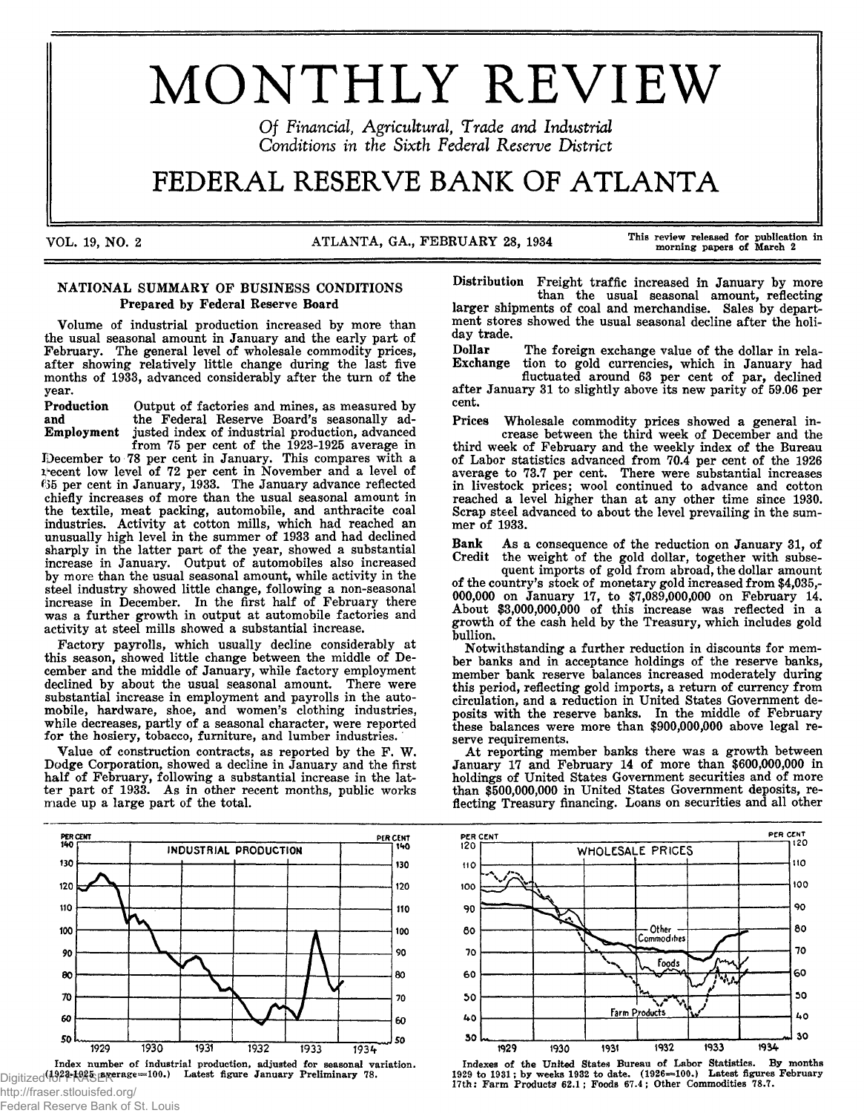# MONTHLY REVIEW

Of Financial, Agricultural, Trade and Industrial *Conditions in the Sixth Federal Reserve District* 

# FEDERAL RESERVE BANK OF ATLANTA

VOL. 19, NO. 2 ATLANTA, GA., FEBRUARY 28, 1934 This review released for publication in

# NATIONAL SUMMARY OF BUSINESS CONDITIONS Prepared by Federal Reserve Board

Volume of industrial production increased by more than the usual seasonal amount in January and the early part of February. The general level of wholesale commodity prices, after showing relatively little change during the last five months of 1933, advanced considerably after the turn of the year.

Production Output of factories and mines, as measured by and the Federal Reserve Board's seasonally ad-<br>Employment justed index of industrial production, advanced justed index of industrial production, advanced

from 75 per cent of the 1923-1925 average in December to 78 per cent in January. This compares with a l'ecent low level of 72 per cent in November and a level of <sup>635</sup> per cent in January, 1933. The January advance reflected chiefly increases of more than the usual seasonal amount in the textile, meat packing, automobile, and anthracite coal industries. Activity at cotton mills, which had reached an unusually high level in the summer of 1933 and had declined sharply in the latter part of the year, showed a substantial increase in January. Output of automobiles also increased by more than the usual seasonal amount, while activity in the steel industry showed little change, following a non-seasonal increase in December. In the first half of February there was a further growth in output at automobile factories and activity at steel mills showed a substantial increase.

Factory payrolls, which usually decline considerably at this season, showed little change between the middle of December and the middle of January, while factory employment declined by about the usual seasonal amount. There were substantial increase in employment and payrolls in the automobile, hardware, shoe, and women's clothing industries, while decreases, partly of a seasonal character, were reported for the hosiery, tobacco, furniture, and lumber industries.

Value of construction contracts, as reported by the F. W. Dodge Corporation, showed a decline in January and the first half of February, following a substantial increase in the latter part of 1933. As in other recent months, public works made up a large part of the total.



Index number of industrial production, adjusted for seasonal variation. Digitized<sup>(1923-1925</sup> **average=100.)** Latest figure January Preliminary 78.

Distribution Freight traffic increased in January by more than the usual seasonal amount, reflecting larger shipments of coal and merchandise. Sales by department stores showed the usual seasonal decline after the holiday trade.

Dollar The foreign exchange value of the dollar in rela-<br>Exchange tion to gold currencies, which in January had Exchange tion to gold currencies, which in January had

fluctuated around 63 per cent of par, declined after January 31 to slightly above its new parity of 59.06 per cent.

Prices Wholesale commodity prices showed a general increase between the third week of December and the third week of February and the weekly index of the Bureau of Labor statistics advanced from 70.4 per cent of the 1926 average to 73.7 per cent. There were substantial increases in livestock prices; wool continued to advance and cotton reached a level higher than at any other time since 1930. Scrap steel advanced to about the level prevailing in the summer of 1933.

Bank As a consequence of the reduction on January 31, of Credit the weight of the gold dollar, together with subse-

quent imports of gold from abroad, the dollar amount of the country's stock of monetary gold increased from \$4,035,- 000,000 on January 17, to \$7,089,000,000 on February 14. About \$3,000,000,000 of this increase was reflected in a growth of the cash held by the Treasury, which includes gold bullion.

Notwithstanding a further reduction in discounts for member banks and in acceptance holdings of the reserve banks, member bank reserve balances increased moderately during this period, reflecting gold imports, a return of currency from circulation, and a reduction in United States Government deposits with the reserve banks. In the middle of February these balances were more than \$900,000,000 above legal reserve requirements.

At reporting member banks there was a growth between January 17 and February 14 of more than \$600,000,000 in holdings of United States Government securities and of more than \$500,000,000 in United States Government deposits, reflecting Treasury financing. Loans on securities and all other



Indexes of the United States Bureau of Labor Statistics. By months<br>1929 to 1931; by weeks 1932 to date. (1926—100.) Latest figures February<br>17th: Farm Products 62.1; Foods 67.4; Other Commodities 78.7.

http://fraser.stlouisfed.org/ Federal Reserve Bank of St. Louis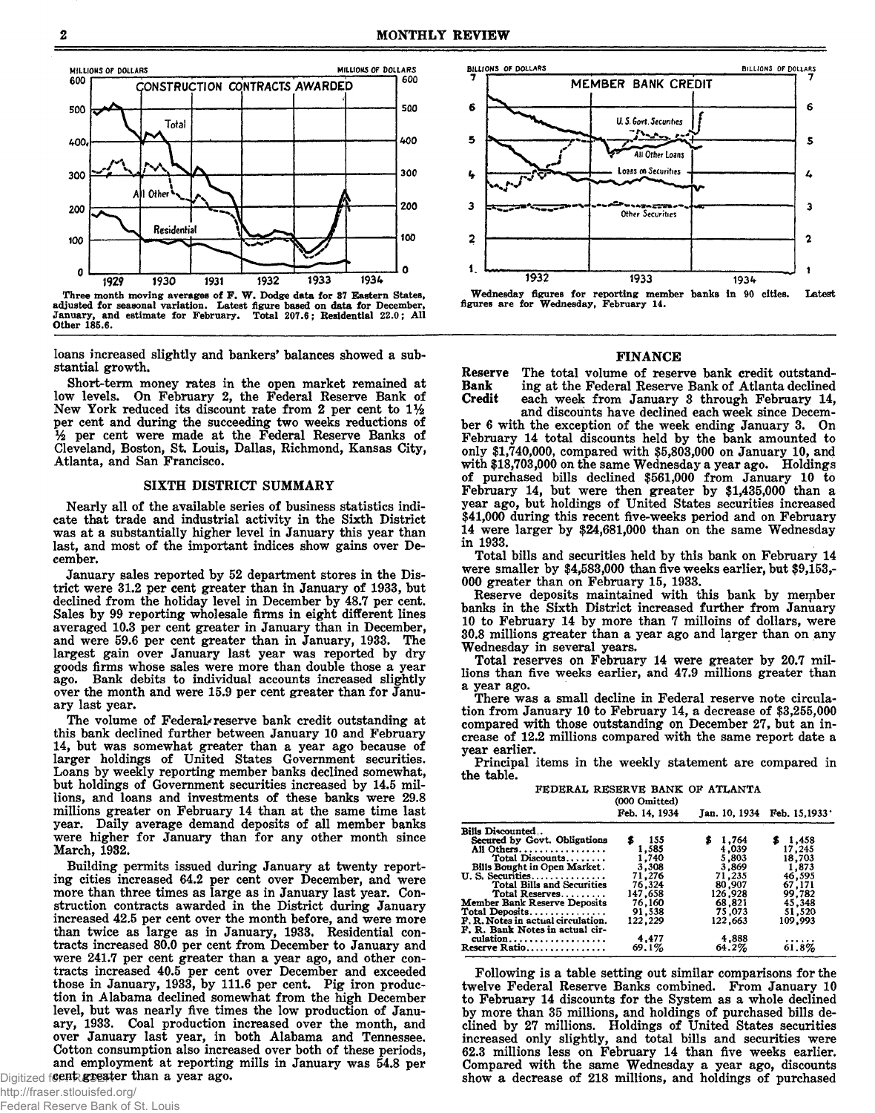

Three month moving averages of F. W. Dodge data for 37 Eastern States, adjusted for seasonal variation. Latest figure based on data for December,<br>January, and estimate for February. Total 207.6; Residential 22.0; All Other 185.6.

loans increased slightly and bankers' balances showed a substantial growth.

Short-term money rates in the open market remained at low levels. On February 2, the Federal Reserve Bank of New York reduced its discount rate from 2 per cent to 1% per cent and during the succeeding two weeks reductions of % per cent were made at the Federal Reserve Banks of Cleveland, Boston, St. Louis, Dallas, Richmond, Kansas City, Atlanta, and San Francisco.

#### SIXTH DISTRICT SUMMARY

Nearly all of the available series of business statistics indicate that trade and industrial activity in the Sixth District was at a substantially higher level in January this year than last, and most of the important indices show gains over December.

January sales reported by 52 department stores in the District were 31.2 per cent greater than in January of 1933, but declined from the holiday level in December by 48.7 per cent. Sales by 99 reporting wholesale firms in eight different lines averaged 10.3 per cent greater in January than in December, and were 59.6 per cent greater than in January, 1933. The largest gain over January last year was reported by dry goods firms whose sales were more than double those a year ago. Bank debits to individual accounts increased slightly over the month and were 15.9 per cent greater than for January last year.

The volume of Federal-reserve bank credit outstanding at this bank declined further between January 10 and February 14, but was somewhat greater than a year ago because of larger holdings of United States Government securities. Loans by weekly reporting member banks declined somewhat, but holdings of Government securities increased by 14.5 millions, and loans and investments of these banks were 29.8 millions greater on February 14 than at the same time last year. Daily average demand deposits of all member banks were higher for January than for any other month since March, 1932.

Building permits issued during January at twenty reporting cities increased 64.2 per cent over December, and were more than three times as large as in January last year. Construction contracts awarded in the District during January increased 42.5 per cent over the month before, and were more than twice as large as in January, 1933. Residential contracts increased 80.0 per cent from December to January and were 241.7 per cent greater than a year ago, and other contracts increased 40.5 per cent over December and exceeded those in January, 1933, by 111.6 per cent. Pig iron production in Alabama declined somewhat from the high December level, but was nearly five times the low production of January, 1933. Coal production increased over the month, and over January last year, in both Alabama and Tennessee. Cotton consumption also increased over both of these periods, and employment at reporting mills in January was 54.8 per Digitized for FRASER for than a year ago.



#### FINANCE

Reserve The total volume of reserve bank credit outstand-<br>Bank ing at the Federal Reserve Bank of Atlanta declined Bank ing at the Federal Reserve Bank of Atlanta declined<br>Credit each week from January 3 through February 14, each week from January 3 through February 14, and discounts have declined each week since Decem-

ber 6 with the exception of the week ending January 3. On February 14 total discounts held by the bank amounted to only \$1,740,000, compared with \$5,803,000 on January 10, and with \$18,703,000 on the same Wednesday a year ago. Holdings of purchased bills declined \$561,000 from January 10 to February 14, but were then greater by \$1,435,000 than a year ago, but holdings of United States securities increased \$41,000 during this recent five-weeks period and on February 14 were larger by \$24,681,000 than on the same Wednesday in 1933.

Total bills and securities held by this bank on February 14 were smaller by \$4,583,000 than five weeks earlier, but \$9,153,- 000 greater than on February 15, 1933.

Reserve deposits maintained with this bank by member banks in the Sixth District increased further from January 10 to February 14 by more than 7 milloins of dollars, were 30.8 millions greater than a year ago and larger than on any Wednesday in several years.

Total reserves on February 14 were greater by 20.7 millions than five weeks earlier, and 47.9 millions greater than a year ago.

There was a small decline in Federal reserve note circulation from January 10 to February 14, a decrease of \$3,255,000 compared with those outstanding on December 27, but an increase of 12.2 millions compared with the same report date a year earlier.

Principal items in the weekly statement are compared in the table.

FEDERAL RESERVE BANK OF ATLANTA  $(000 \text{ O} \text{m})$ 

|                                     | Feb. 14, 1934 |         | Jan. 10, 1934 Feb. 15, 1933 |
|-------------------------------------|---------------|---------|-----------------------------|
| Bills Discounted                    |               |         |                             |
| Secured by Govt. Obligations        | - 155<br>s    | \$1,764 | \$1,458                     |
| All Others                          | 1,585         | 4,039   | 17.245                      |
| Total Discounts                     | 1.740         | 5,803   | 18,703                      |
| Bills Bought in Open Market.        | 3,308         | 3.869   | 1,873                       |
| U. S. Securities                    | 71,276        | 71,235  | 46,595                      |
| Total Bills and Securities          | 76.324        | 80,907  | 67,171                      |
| Total Reserves                      | 147,658       | 126,928 | 99,782                      |
| <b>Member Bank Reserve Deposits</b> | 76,160        | 68,821  | 45,348                      |
| Total Deposits                      | 91.538        | 75.073  | 51,520                      |
| F. R. Notes in actual circulation.  | 122.229       | 122,663 | 109,993                     |
| F. R. Bank Notes in actual cir-     |               |         |                             |
| culation                            | 4,477         | 4,888   |                             |
| Reserve Ratio                       | 69.1%         | 64.2%   | 61.8%                       |
|                                     |               |         |                             |

Following is a table setting out similar comparisons for the twelve Federal Reserve Banks combined. From January 10 to February 14 discounts for the System as a whole declined by more than 35 millions, and holdings of purchased bills declined by 27 millions. Holdings of United States securities increased only slightly, and total bills and securities were 62.3 millions less on February 14 than five weeks earlier. Compared with the same Wednesday a year ago, discounts show a decrease of 218 millions, and holdings of purchased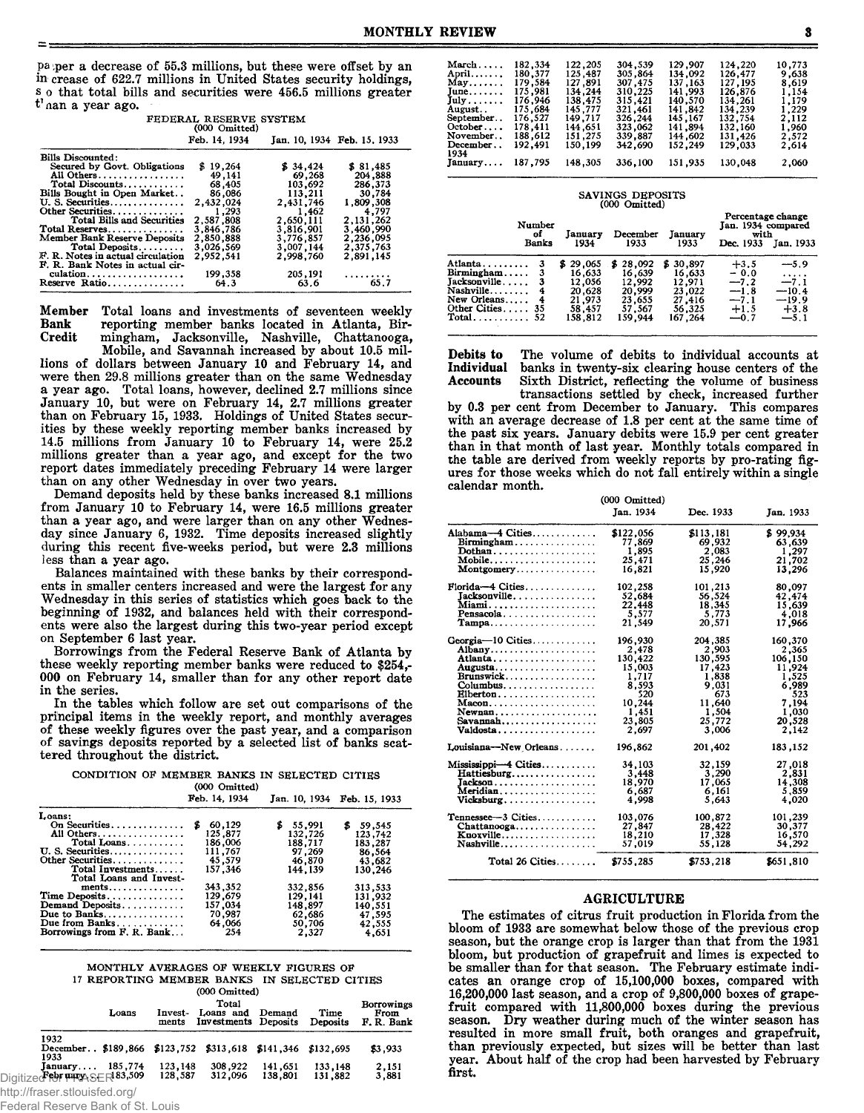paper a decrease of 55.3 millions, but these were offset by an in crease of 622.7 millions in United States security holdings, s o that total bills and securities were 456.5 millions greater t' nan a year ago.

| PEDEKAL RESERVE SYSTEM<br>(000 Omitted) |               |           |                                 |  |  |
|-----------------------------------------|---------------|-----------|---------------------------------|--|--|
|                                         | Feb. 14, 1934 |           | Jan. 10, 1934 Feb. 15, 1933     |  |  |
| Bills Discounted:                       |               |           |                                 |  |  |
| Secured by Govt. Obligations            | \$19.264      | \$34,424  | \$ 81,485                       |  |  |
| All Others                              | 49,141        | 69,268    | 204,888                         |  |  |
| Total Discounts                         | 68,405        | 103,692   | 286,373                         |  |  |
| Bills Bought in Open Market             | 86,086        | 113,211   | 30,784                          |  |  |
| U.S. Securities                         | 2,432,024     | 2,431,746 | 1.809.308                       |  |  |
| Other Securities                        | 1.293         | 1.462     | 4,797                           |  |  |
| Total Bills and Securities              | 2.587.808     | 2,650,111 | 2, 131, 262                     |  |  |
| Total Reserves                          | 3.846.786     | 3,816,901 | 3.460.990                       |  |  |
| <b>Member Bank Reserve Deposits</b>     | 2,850,888     | 3.776.857 | 2,236,095                       |  |  |
| Total Deposits                          | 3.026.569     | 3.007.144 | 2,375,763                       |  |  |
| F. R. Notes in actual circulation       | 2.952.541     | 2.998.760 | 2,891,145                       |  |  |
| F. R. Bank Notes in actual cir-         |               |           |                                 |  |  |
| culation                                | 199,358       | 205,191   |                                 |  |  |
| Reserve Ratio                           | 64.3          | 63.6      | $\cdots$ $\cdots$ $\ddot{65.7}$ |  |  |

Member Total loans and investments of seventeen weekly **Bank** reporting member banks located in Atlanta, Bir-Credit mingham, Jacksonville, Nashville, Chattanooga,

Mobile, and Savannah increased by about 10.5 millions of dollars between January 10 and February 14, and were then 29.8 millions greater than on the same Wednesday a year ago. Total loans, however, declined 2.7 millions since January 10, but were on February 14, 2.7 millions greater<br>than on February 15, 1933. Holdings of United States securities by these weekly reporting member banks increased by 14.5 millions from January 10 to February 14, were 25.2 millions greater than a year ago, and except for the two report dates immediately preceding February 14 were larger than on any other Wednesday in over two years.

Demand deposits held by these banks increased 8.1 millions from January 10 to February 14, were 16.5 millions greater than a year ago, and were larger than on any other Wednes-<br>day since January 6, 1932. Time deposits increased slightly during this recent five-weeks period, but were 2.3 millions less than a year ago.

Balances maintained with these banks by their correspondents in smaller centers increased and were the largest for any Wednesday in this series of statistics which goes back to the beginning of 1932, and balances held with their correspondents were also the largest during this two-year period except on September 6 last year.

Borrowings from the Federal Reserve Bank of Atlanta by these weekly reporting member banks were reduced to \$254,-000 on February 14, smaller than for any other report date in the series.

In the tables which follow are set out comparisons of the principal items in the weekly report, and monthly averages of these weekly figures over the past year, and a comparison of savings deposits reported by a selected list of banks scattered throughout the district.

| CONDITION OF MEMBER BANKS IN SELECTED CITIES |  |                    |  |  |
|----------------------------------------------|--|--------------------|--|--|
|                                              |  | $(00000 \ldots 1)$ |  |  |

|                                     | $1000$ canceled |             |                             |
|-------------------------------------|-----------------|-------------|-----------------------------|
|                                     | Feb. 14, 1934   |             | Jan. 10, 1934 Feb. 15, 1933 |
| Loans:                              |                 |             |                             |
| On Securities                       | 60,129          | 55.991<br>z | 59.545                      |
| All Others                          | 125.877         | 132,726     | 123.742                     |
| Total Loans                         | 186.006         | 188.717     | 183.287                     |
| U. S. Securities                    | 111,767         | 97.269      | 86,564                      |
| Other Securities                    | 45,579          | 46,870      | 43.682                      |
| Total Investments                   | 157.346         | 144.139     | 130.246                     |
| Total Loans and Invest-             |                 |             |                             |
| $ments \ldots \ldots \ldots \ldots$ | 343,352         | 332.856     | 313.533                     |
| Time Deposits                       | 129,679         | 129.141     | 131,932                     |
| Demand Deposits                     | 157,034         | 148.897     | 140.551                     |
| Due to Banks                        | 70.987          | 62,686      | 47,595                      |
| Due from Banks                      | 64,066          | 50,706      | 42,555                      |
| Borrowings from F. R. Bank          | 254             | 2.327       | 4,651                       |
|                                     |                 |             |                             |

MONTHLY AVERAGES OF WEEKLY FIGURES OF 17 REPORTING MEMBER BANKS IN SELECTED CITIES  $(000 \text{ Omitted})$ 

| Loans                                                                      | Invest-<br>ments   | <b>TOOD OTHERCAL</b><br>Total<br>Loans and<br>Investments Deposits | Demand             | Time<br>Deposits   | Borrowings<br>From<br>F. R. Bank |
|----------------------------------------------------------------------------|--------------------|--------------------------------------------------------------------|--------------------|--------------------|----------------------------------|
| 1932<br>December \$189,866 \$123,752 \$313,618 \$141,346 \$132,695<br>1933 |                    |                                                                    |                    |                    | \$3,933                          |
| 185,774<br>January<br>Digitized for www.SER 83,509                         | 123,148<br>128,587 | 308,922<br>312.096                                                 | 141.651<br>138,801 | 133,148<br>131,882 | 2,151<br>3,881                   |

http://fraser.stlouisfed.org/

|  | Federal Reserve Bank of St. Louis |  |  |  |
|--|-----------------------------------|--|--|--|
|--|-----------------------------------|--|--|--|

| March              | 182,334 | 122,205 | 304,539  | 129,907  | 124,220 | 10,773 |
|--------------------|---------|---------|----------|----------|---------|--------|
| April              | 180,377 | 125.487 | 305.864  | 134,092  | 126,477 | 9.638  |
| May                | 179.584 | 127.891 | 307, 475 | 137, 163 | 127.195 | 8,619  |
| June               | 175,981 | 134.244 | 310,225  | 141,993  | 126,876 | 1.154  |
| $July \dots \dots$ | 176.946 | 138.475 | 315,421  | 140,570  | 134,261 | 1,179  |
| August. .          | 175.684 | 145.777 | 321,461  | 141.842  | 134,239 | 1,229  |
| September          | 176.527 | 149.717 | 326,244  | 145.167  | 132.754 | 2,112  |
| $October \dots$    | 178.411 | 144.651 | 323,062  | 141,894  | 132.160 | 1,960  |
| November           | 188.612 | 151,275 | 339,887  | 144,602  | 131.426 | 2,572  |
| December           | 192.491 | 150,199 | 342,690  | 152,249  | 129,033 | 2.614  |
| 1934               |         |         |          |          |         |        |
| January            | 187,795 | 148,305 | 336,100  | 151,935  | 130,048 | 2,060  |

|                                                                                                |                              |                                                                           | SAVINGS DEPOSITS<br>(000 Omitted)                                        |                                                                       |                                                                   |                                                                 |
|------------------------------------------------------------------------------------------------|------------------------------|---------------------------------------------------------------------------|--------------------------------------------------------------------------|-----------------------------------------------------------------------|-------------------------------------------------------------------|-----------------------------------------------------------------|
|                                                                                                | Number<br>of<br><b>Banks</b> | January<br>1934                                                           | December<br>1933                                                         | Januarv<br>1933                                                       | Percentage change<br>Jan. 1934 compared<br>with<br>Dec. 1933      | Jan. 1933                                                       |
| Atlanta<br>Birmingham<br>$Jacksonville$ .<br>$Nashville \ldots$<br>New Orleans<br>Other Cities | 4<br>-35                     | 29,065<br>S.<br>16,633<br>12,056<br>20,628<br>21,973<br>58.457<br>158.812 | 28,092<br>Б<br>16.639<br>12.992<br>20,999<br>23,655<br>57.567<br>159,944 | \$30,897<br>16,633<br>12.971<br>23,022<br>27.416<br>56.325<br>167.264 | $+3.5$<br>- 0.0<br>$-7.2$<br>$-1.8$<br>$-7.1$<br>$+1.5$<br>$-0.7$ | $-5.9$<br>.<br>$-7.1$<br>$-10.4$<br>$-19.9$<br>$+3.8$<br>$-5.1$ |

The volume of debits to individual accounts at Debits to Individual banks in twenty-six clearing house centers of the Accounts Sixth District, reflecting the volume of business

transactions settled by check, increased further<br>by 0.3 per cent from December to January. This compares<br>with an average decrease of 1.8 per cent at the same time of the past six years. January debits were 15.9 per cent greater than in that month of last year. Monthly totals compared in the table are derived from weekly reports by pro-rating figures for those weeks which do not fall entirely within a single calendar month.

|                                               | (000 Omitted) |           |           |
|-----------------------------------------------|---------------|-----------|-----------|
|                                               | Jan. 1934     | Dec. 1933 | Jan. 1933 |
| Alabama-4 Cities                              | \$122,056     | \$113,181 | \$99.934  |
| $Birmingham \ldots \ldots \ldots \ldots$      | 77.869        | 69,932    | 63,639    |
| Dothan                                        | 1,895         | 2,083     | 1,297     |
|                                               | 25,471        | 25,246    | 21,702    |
| Montgomery                                    | 16,821        | 15.920    | 13.296    |
| Florida-4 Cities                              | 102.258       | 101,213   | 80,097    |
| Jacksonville.                                 | 52,684        | 56,524    | 42,474    |
| Miami                                         | 22.448        | 18,345    | 15,639    |
| Pensacola                                     | 5,577         | 5.773     | 4,018     |
| Tampa                                         | 21,549        | 20,571    | 17,966    |
| Georgia-10 Cities                             | 196.930       | 204.385   | 160.370   |
| Albany                                        | 2,478         | 2,903     | 2,365     |
| Atlanta                                       | 130,422       | 130,595   | 106,150   |
| Augusta                                       | 15,003        | 17,423    | 11,924    |
| Brunswick                                     | 1,717         | 1,838     | 1,525     |
|                                               | 8.593         | 9.031     | 6.989     |
| Elberton.                                     | 520           | 673       | 523       |
|                                               | 10,244        | 11,640    | 7,194     |
| Newnan                                        | 1,451         | 1,504     | 1,030     |
| $Savannah \ldots \ldots \ldots \ldots$        | 23.805        | 25,772    | 20.528    |
| Valdosta <i>.</i> .                           | 2.697         | 3.006     | 2.142     |
| Louisiana—New Orleans                         | 196,862       | 201,402   | 183,152   |
| Mississippi-4 Cities                          | 34,103        | 32,159    | 27,018    |
| Hattiesburg                                   | 3,448         | 3,290     | 2,831     |
|                                               | 18,970        | 17,065    | 14,308    |
| Meridian                                      | 6,687         | 6,161     | 5,859     |
| Vicksburg                                     | 4,998         | 5,643     | 4,020     |
| Tennessee-3 Cities                            | 103,076       | 100,872   | 101,239   |
| $Chattanooga, \ldots, \ldots, \ldots, \ldots$ | 27,847        | 28,422    | 30,377    |
| Knoxville                                     | 18,210        | 17,328    | 16,570    |
| Nashville                                     | 57,019        | 55.128    | 54,292    |
| Total $26$ Cities                             | \$755,285     | \$753,218 | \$651.810 |

## **AGRICULTURE**

The estimates of citrus fruit production in Florida from the bloom of 1933 are somewhat below those of the previous crop season, but the orange crop is larger than that from the 1931 bloom, but production of grapefruit and limes is expected to be smaller than for that season. The February estimate indicates an orange crop of 15,100,000 boxes, compared with 16,200,000 last season, and a crop of 9,800,000 boxes of grape-<br>fruit compared with 11,800,000 boxes during the previous season. Dry weather during much of the winter season has resulted in more small fruit, both oranges and grapefruit, than previously expected, but sizes will be better than last year. About half of the crop had been harvested by February first.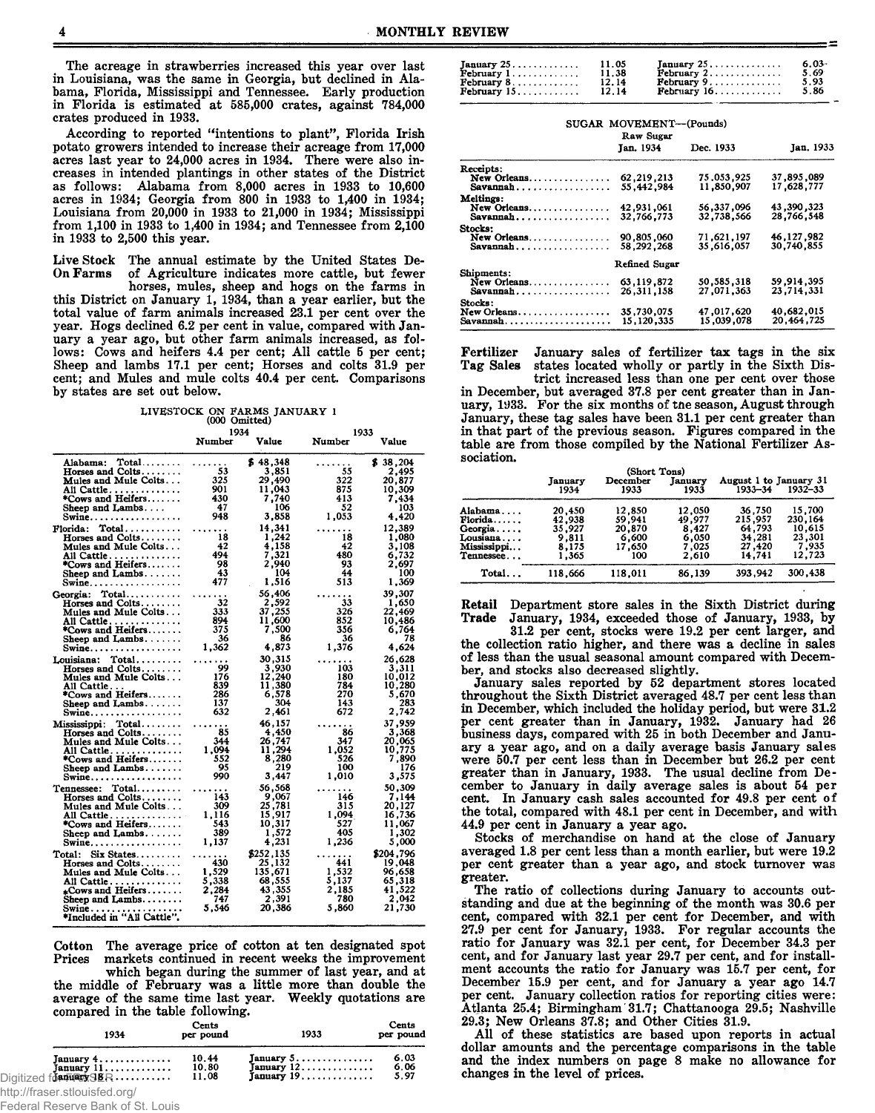The acreage in strawberries increased this year over last in Louisiana, was the same in Georgia, but declined in Alabama, Florida, Mississippi and Tennessee. Early production in Florida is estimated at 585,000 crates, against 784,000 crates produced in 1933.

According to reported "intentions to plant", Florida Irish potato growers intended to increase their acreage from 17,000 acres last year to 24,000 acres in 1934. There were also increases in intended plantings in other states of the District as follows: Alabama from 8,000 acres in 1933 to 10,600 acres in 1934; Georgia from 800 in 1933 to 1,400 in 1934; Louisiana from  $20,000$  in 1933 to  $21,000$  in 1934; Mississippi from 1,100 in 1933 to 1,400 in 1934; and Tennessee from 2,100 in 1933 to 2,500 this year.

Live Stock The annual estimate by the United States De-On Farms of Agriculture indicates more cattle, but fewer

horses, mules, sheep and hogs on the farms in this District on January 1, 1934, than a year earlier, but the total value of farm animals increased 23.1 per cent over the year. Hogs declined 6.2 per cent in value, compared with January a year ago, but other farm animals increased, as follows: Cows and heifers 4.4 per cent; All cattle 5 per cent; Sheep and lambs 17.1 per cent; Horses and colts 31.9 per cent; and Mules and mule colts 40.4 per cent. Comparisons by states are set out below.

### LIVESTOCK ON FARMS JANUARY 1

1933

| (you cannot |
|-------------|
| 1934        |

|                                                | Number | Value     | Number | Value     |
|------------------------------------------------|--------|-----------|--------|-----------|
| Alabama: Total                                 | .      | \$48,348  | .      | \$38,204  |
| Horses and $Colts. \ldots \ldots$              | 53     | 3,851     | 55     | 2,495     |
| Mules and Mule Colts                           | 325    | 29,490    | 322    | 20,877    |
| All Cattle                                     | 901    | 11,043    | 875    | 10,309    |
| *Cows and Heifers                              | 430    | 7,740     | 413    | 7.434     |
| Sheep and Lambs                                | -47    | 106       | 52     | 103       |
| Swine.                                         | 948    | 3.858     | 1,053  | 4,420     |
| $Total$<br>Florida:                            | .      | 14,341    | .      | 12,389    |
| Horses and Colts                               | 18     | 1,242     | 18     | 1,080     |
| Mules and Mule Colts                           | 42     | 4,158     | 42     | 3,108     |
| All Cattle                                     | 494    | 7,321     | 480    | 6,732     |
| *Cows and Heifers                              | -98    | 2,940     | 93     | 2,697     |
| Sheep and Lambs                                | 43     | 104       | 44     | 100       |
| $Swine \ldots \ldots \ldots$                   | 477    | 1,516     | 513    | 1,369     |
| Georgia: Total                                 | .      | 56,406    | .      | 39,307    |
| Horses and Colts                               | 32     | 2,592     | 33     | 1,650     |
| Mules and Mule Colts.                          | 333    | 37,255    | 326    | 22,469    |
| All Cattle.                                    | 894    | 11,600    | 852    | 10,486    |
| *Cows and Heifers                              | 375    | 7.500     | 356    | 6,764     |
| Sheep and Lambs                                | -36    | 86        | 36     | 78        |
| $\textbf{Swine} \dots \dots \dots \dots \dots$ | 1.362  | 4,873     | 1,376  | 4.624     |
| Louisiana:<br>$Total \ldots$                   | .      | 30,315    | .      | 26,628    |
| Horses and Colts.                              | 99     | 3.930     | 103    | 3.311     |
| Mules and Mule Colts                           | 176    | 12,240    | 180    | 10,012    |
| All Cattle                                     | 839    | 11,380    | 784    | 10,280    |
| *Cows and Heifers.                             | 286    | 6,578     | 270    | 5,670     |
| Sheep and Lambs                                | 137    | 304       | 143    | 283       |
| <b>Swine</b>                                   | 632    | 2,461     | 672    | 2,742     |
| Mississippi: Total                             | .      | 46,157    | .      | 37,959    |
| Horses and Colts                               | -85    | 4,450     | 86     | 3.368     |
| Mules and Mule Colts                           | 344    | 26,747    | 347    | 20,065    |
| All Cattle.                                    | 1,094  | 11,294    | 1,052  | 10,775    |
| *Cows and Heifers                              | 552    | 8,280     | 526    | 7.890     |
| Sheep and Lambs                                | - 95   | 219       | 100    | 176       |
| Swine                                          | 990    | 3,447     | 1,010  | 3,575     |
| Tennessee: Total                               | .      | 56,568    | .      | 50,309    |
| Horses and Colts                               | 143    | 9,067     | 146    | 7,144     |
| Mules and Mule Colts                           | 309    | 25,781    | 315    | 20,127    |
| All Cattle.                                    | 1,116  | 15,917    | 1,094  | 16.736    |
| *Cows and Heifers                              | 543    | 10.317    | 527    | 11.067    |
| Sheep and Lambs                                | 389    | 1,572     | 405    | 1,302     |
| Swine.                                         | 1,137  | 4,231     | 1.236  | 5,000     |
| Total: Six States                              |        | \$252,135 | .      | \$204,796 |
| Horses and Colts. $\dots\dots$                 | 430    | 25,132    | 441    | 19,048    |
| Mules and Mule Colts.                          | 1,529  | 135,671   | 1,532  | 96.658    |
| All Cattle                                     | 5,338  | 68,555    | 5,137  | 65,318    |
| $_{\star}$ Cows and Heifers                    | 2,284  | 43,355    | 2,185  | 41,522    |
| Sheep and Lambs                                | 747    | 2,391     | 780    | 2,042     |
| Swine<br>*Included in "All Cattle".            | 5,546  | 20,386    | 5.860  | 21,730    |
|                                                |        |           |        |           |

Cotton The average price of cotton at ten designated spot markets continued in recent weeks the improvement Prices which began during the summer of last year, and at the middle of February was a little more than double the average of the same time last year. Weekly quotations are compared in the table following.

| 1934                                                          | Cents<br>per pound      | 1933                                                                                            | Cents<br>per pound   |
|---------------------------------------------------------------|-------------------------|-------------------------------------------------------------------------------------------------|----------------------|
| January $4$<br>January 11<br>Digitized for <b>Annamic SER</b> | 10.44<br>10.80<br>11.08 | January $5 \ldots \ldots \ldots \ldots$<br>January $12$<br>January $19, \ldots, \ldots, \ldots$ | 6.03<br>6.06<br>5.97 |

http://fraser.stlouisfed.org/ Federal Reserve Bank of St. Louis

 $\begin{array}{c} 11.05 \\ 11.38 \\ 12.14 \end{array}$  $January 25.........$  $6,03$ Tanuary 25............ February 1..............<br>February 8............. February 2<br>February 9 5.69<br>5.93 February . . *.* . . . . . . . . . .  $5.86$ February 15. . . . . . . . . . . .  $12.14$ February 16. . . . . . . . . . . . .

| SUGAR MOVEMENT-(Pounds)<br>Raw Sugar                                       |                            |                          |                            |  |  |  |
|----------------------------------------------------------------------------|----------------------------|--------------------------|----------------------------|--|--|--|
|                                                                            | Jan. 1934                  | Dec. 1933                | Jan. 1933                  |  |  |  |
| Receipts:                                                                  |                            |                          |                            |  |  |  |
| New Orleans<br>$Savannah \ldots \ldots \ldots \ldots$                      | 62, 219, 213<br>55.442.984 | 75.053.925<br>11,850,907 | 37.895.089<br>17,628,777   |  |  |  |
| Meltings:<br>New Orleans<br>Savannah                                       | 42,931,061<br>32,766,773   | 56,337,096<br>32.738.566 | 43,390,323<br>28,766,548   |  |  |  |
| Stocks:<br>New Orleans<br>Savannah                                         | 90.805.060<br>58, 292, 268 | 71,621,197<br>35,616,057 | 46, 127, 982<br>30.740.855 |  |  |  |
|                                                                            | Refined Sugar              |                          |                            |  |  |  |
| Shipments:<br>New Orleans<br>$Savannah \ldots \ldots \ldots \ldots \ldots$ | 63, 119, 872<br>26,311,158 | 50,585,318<br>27,071,363 | 59.914.395<br>23,714,331   |  |  |  |
| Stocks:<br>New Orleans<br>Savannah                                         | 35,730,075<br>15.120.335   | 47,017,620<br>15.039.078 | 40,682,015<br>20,464,725   |  |  |  |

Fertilizer January sales of fertilizer tax tags in the six states located wholly or partly in the Sixth Dis-Tag Sales

trict increased less than one per cent over those<br>in December, but averaged 37.8 per cent greater than in January, 1933. For the six months of the season, August through January, these tag sales have been 31.1 per cent greater than in that part of the previous season. Figures compared in the table are from those compiled by the National Fertilizer Association.

|                                                                       | (Short Tons)                                          |                                                      |                                                      |                                                           |                                                          |  |  |
|-----------------------------------------------------------------------|-------------------------------------------------------|------------------------------------------------------|------------------------------------------------------|-----------------------------------------------------------|----------------------------------------------------------|--|--|
|                                                                       | January<br>1934                                       | December<br>1933                                     | January<br>1933                                      | August 1 to January 31<br>1933-34                         | 1932-33                                                  |  |  |
| Alabama<br>Florida<br>Georgia<br>Lousiana<br>Mississippi<br>Tennessee | 20,450<br>42.938<br>35.927<br>9.811<br>8,175<br>1,365 | 12.850<br>59,941<br>20.870<br>6.600<br>17,650<br>100 | 12,050<br>49,977<br>8.427<br>6,050<br>7.025<br>2.610 | 36,750<br>215,957<br>64.793<br>34,281<br>27,420<br>14.741 | 15.700<br>230,164<br>10.615<br>23,301<br>7.935<br>12,723 |  |  |
| Total                                                                 | 118.666                                               | 118.011                                              | 86.139                                               | 393,942                                                   | 300,438                                                  |  |  |

Retail Department store sales in the Sixth District during Trade January, 1934, exceeded those of January, 1933, by

31.2 per cent, stocks were 19.2 per cent larger, and the collection ratio higher, and there was a decline in sales of less than the usual seasonal amount compared with December, and stocks also decreased slightly.

January sales reported by 52 department stores located<br>throughout the Sixth District averaged 48.7 per cent less than in December, which included the holiday period, but were 31.2 per cent greater than in January, 1932. January had 26 business days, compared with 25 in both December and January a year ago, and on a daily average basis January sales were 50.7 per cent less than in December but 26.2 per cent greater than in January, 1933. The usual decline from December to January in daily average sales is about 54 per cent. In January cash sales accounted for 49.8 per cent of the total, compared with 48.1 per cent in December, and with 44.9 per cent in January a year ago.

Stocks of merchandise on hand at the close of January averaged 1.8 per cent less than a month earlier, but were 19.2 per cent greater than a year ago, and stock turnover was greater.

The ratio of collections during January to accounts outstanding and due at the beginning of the month was 30.6 per cent, compared with 32.1 per cent for December, and with 27.9 per cent for January, 1933. For regular accounts the ratio for January was 32.1 per cent, for December 34.3 per cent, and for January last year 29.7 per cent, and for installment accounts the ratio for January was 15.7 per cent, for December 15.9 per cent, and for January a year ago 14.7 per cent. January collection ratios for reporting cities were: Atlanta 25.4; Birmingham 31.7; Chattanooga 29.5; Nashville 29.3; New Orleans 37.8; and Other Cities 31.9.

All of these statistics are based upon reports in actual dollar amounts and the percentage comparisons in the table and the index numbers on page 8 make no allowance for changes in the level of prices.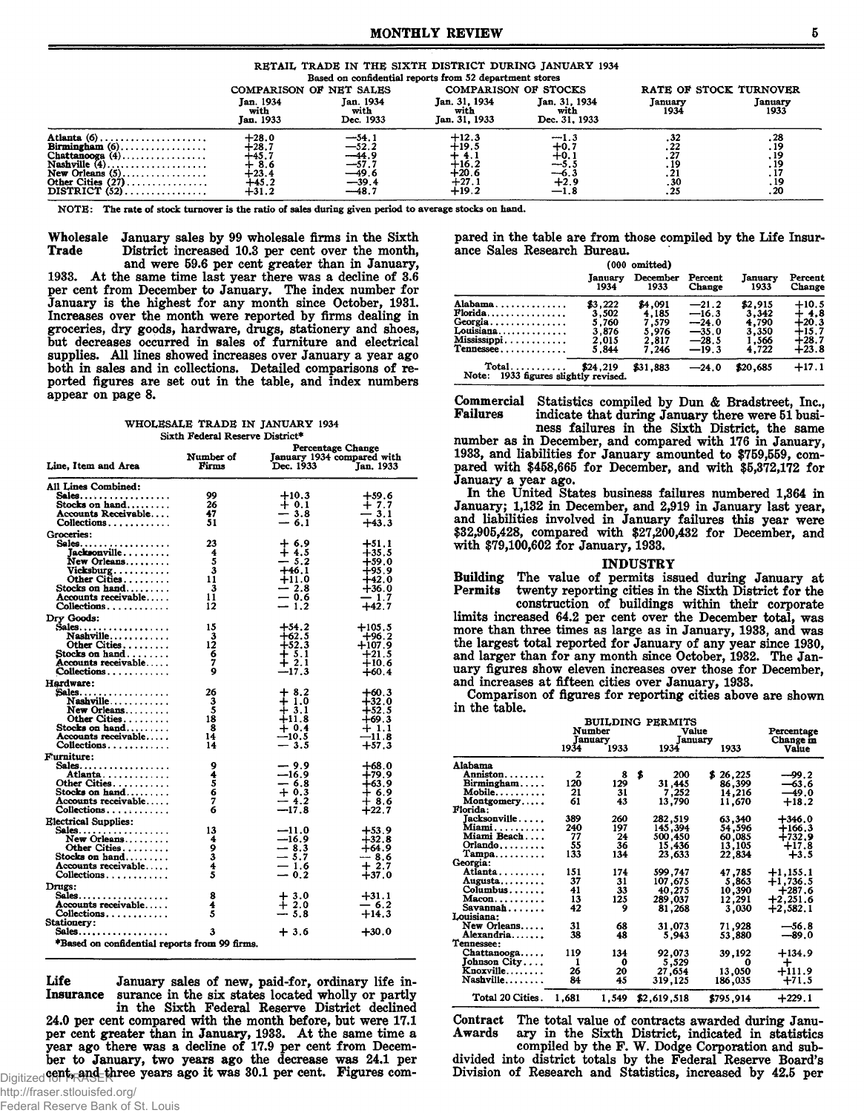|                                                                                                                                                     |                                                               |                                                                          |                                                              | ALLIAAAAN AALAAN M AA' AAAN WAAR-AR MIDWADDUU MIDROSOLU JEFAIUILEE AFUA |                             |                            |
|-----------------------------------------------------------------------------------------------------------------------------------------------------|---------------------------------------------------------------|--------------------------------------------------------------------------|--------------------------------------------------------------|-------------------------------------------------------------------------|-----------------------------|----------------------------|
|                                                                                                                                                     |                                                               |                                                                          | Based on confidential reports from 52 department stores      |                                                                         |                             |                            |
|                                                                                                                                                     | COMPARISON OF NET SALES                                       |                                                                          |                                                              | <b>COMPARISON OF STOCKS</b>                                             |                             | RATE OF STOCK TURNOVER     |
|                                                                                                                                                     | Jan. 1934<br>with<br>Jan. 1933                                | Jan. 1934<br>with<br>Dec. 1933                                           | Jan. 31, 1934<br>with<br>Jan. 31, 1933                       | Jan. 31, 1934<br>with<br>Dec. 31, 1933                                  | January<br>1934             | January<br>1933            |
| Atlanta $(6)$ ,<br>$Birmineham (6) \dots \dots \dots \dots \dots$<br>Chattanooga $(4)$<br>Nashville $(4)$<br>Other Cities $(27)$<br>DISTRICT $(52)$ | $+28.0$<br>128.∶<br>+45.7<br>8.6<br>+23.4<br>+45.2<br>$+31.2$ | —54.1<br>—52.2<br>$\frac{-44.9}{-57.7}$<br>$-49.6$<br>$-39.4$<br>---48.7 | $+12.3$<br>$+19.5$<br>$+16.2$<br>∔20.6<br>$+27.1$<br>$+19.2$ | $-1.3$<br>$+0.$<br>$+0.$<br>$-5.5$<br>— ხ.:<br>$+2.9$<br>$-1.8$         | . 32<br>. 22<br>. 30<br>.25 | ە∡.<br>1۶,<br>. 19<br>. 20 |
|                                                                                                                                                     |                                                               |                                                                          |                                                              |                                                                         |                             |                            |

NOTE: The rate of stock turnover is the ratio of sales during given period to average stocks on hand.

Wholesale January sales by 99 wholesale firms in the Sixth District increased 10.3 per cent over the month, Trade and were 59.6 per cent greater than in January,

1933. At the same time last year there was a decline of 3.6 per cent from December to January. The index number for January is the highest for any month since October, 1931. Increases over the month were reported by firms dealing in groceries, dry goods, hardware, drugs, stationery and shoes, but decreases occurred in sales of furniture and electrical supplies. All lines showed increases over January a year ago both in sales and in collections. Detailed comparisons of reported figures are set out in the table, and index numbers appear on page 8.

WHOLESALE TRADE IN JANUARY 1934 Sixth Federal Reserve District\*

|                                               | Number of          | January 1934 compared with     | <b>Percentage Change</b> |
|-----------------------------------------------|--------------------|--------------------------------|--------------------------|
| Line, Item and Area                           | Firms              | Dec. 1933                      | Jan. 1933                |
| All Lines Combined:                           |                    |                                |                          |
| $Sales \ldots \ldots \ldots \ldots \ldots$    | 99                 | $+10.3$                        | $+59.6$                  |
| Stocks on hand<br>Accounts Receivable         | 26<br>47           | $+0.1$                         | $+7.7$<br>$-3.1$         |
| Collections                                   | 51                 | $\frac{1}{2}$ 3.8              | $+43.3$                  |
| Groceries:                                    |                    |                                |                          |
| Sales                                         | 23                 |                                | $+51.1$                  |
| Jacksonville                                  | 4                  | 14.5                           | $+35.5$                  |
| New Orleans                                   | 5                  | $-5.2$                         | $+59.0$                  |
| Vicksburg                                     | 3                  | $+46.1$                        | $+95.9$                  |
| Other Cities<br>Stocks on hand                | 11<br>$\mathbf{3}$ | $+11.0$<br>$-2.8$              | $+42.0$<br>$+36.0$       |
| Accounts receivable                           | 11                 | $-0.6$                         | $-1.7$                   |
| Collections                                   | 12                 | $-1.2$                         | $+42.7$                  |
| Dry Goods:                                    |                    |                                |                          |
| $Sales \ldots \ldots \ldots \ldots \ldots$    | 15                 | $+54.2$                        | $+105.5$                 |
| Nashville                                     | 3                  | $+62.5$                        | $+96.2$                  |
| Other Cities                                  |                    | $+52.3$                        | $+107.9$                 |
| Stocks on hand<br>Accounts receivable         |                    | $+ 5.1$<br>$+2.1$              | $+21.5$                  |
| Collections                                   | $\frac{12}{6}$     | $-17.3$                        | $+10.6$<br>$+60.4$       |
| Hardware:                                     |                    |                                |                          |
| Sales                                         | 26                 | $+8.2$                         | $+60.3$                  |
| Nashville                                     | 3                  | $\frac{1}{4}$ $\frac{1}{3}$ .1 | $+32.0$                  |
| $New$ Orleans.                                | $\bar{\mathbf{5}}$ |                                | $+52,5$                  |
| Other Cities                                  | 18                 | $+11.8$                        | $+69.3$                  |
| Stocks on $hand$<br>Accounts receivable       | -8<br>14           | $+0.4$<br>$-10.5$              | $+1.1$<br>-11.8          |
| Collections                                   | 14                 | $-3.5$                         | $+57.3$                  |
| Furniture:                                    |                    |                                |                          |
| $Sales \ldots \ldots \ldots \ldots$           | 9                  | $-9.9$                         | $+68.0$                  |
| Atlanta                                       | 4                  | $-16.9$                        | $+79.9$                  |
| Other Cities.                                 | 5<br>$\bar{6}$     | $-6.8$<br>$+0.3$               | $+63.9$                  |
| Stocks on hand<br>Accounts receivable         | 7                  | $-4.2$                         | $+8.6$                   |
| Collections                                   | 6                  | $-17.8$                        | $+22.7$                  |
| <b>Electrical Supplies:</b>                   |                    |                                |                          |
| $Sales \ldots \ldots \ldots \ldots \ldots$    | 13                 | $-11.0$                        | $+53.9$                  |
| $New$ Orleans                                 | $\frac{4}{9}$      | $-16.9$                        | $+32.8$                  |
| Other Cities                                  |                    | $-8.3$                         | +64.9                    |
| Stocks on hand<br>Accounts receivable         | 4                  | $-5.7$                         | — 8.6<br>$+2.7$          |
| $Collections \ldots \ldots \ldots$            | 5                  | $= 1.6$<br>= 0.2               | $+37.0$                  |
| Drugs:                                        |                    |                                |                          |
| Sales                                         | 8                  |                                | $+31.1$                  |
| Accounts receivable                           | 4                  | $\frac{1}{4}$ 3.0              | $-6.2$                   |
| Collections                                   | Ŝ                  | $-5.8$                         | $+14.3$                  |
| Stationery:                                   | 3                  | $+3.6$                         | $+30.0$                  |
| $Sales \ldots \ldots \ldots \ldots$           |                    |                                |                          |
| *Based on confidential reports from 99 firms. |                    |                                |                          |

Life January sales of new, paid-for, ordinary life insurance in the six states located wholly or partly **Insurance** 

in the Sixth Federal Reserve District declined 24.0 per cent compared with the month before, but were 17.1 per cent greater than in January, 1933. At the same time a year ago there was a decline of 17.9 per cent from December to January, two years ago the decrease was 24.1 per Digitized 980th, and the years ago it was 30.1 per pared in the table are from those compiled by the Life Insurance Sales Research Bureau.

|                                                    | (000 omitted) |          |         |          |               |
|----------------------------------------------------|---------------|----------|---------|----------|---------------|
|                                                    | Tanuarv       | December | Percent | Januarv  | Percent       |
|                                                    | 1934          | 1933     | Change  | 1933     | <b>Change</b> |
| Alabama                                            | \$3.222       | \$4,091  | $-21.2$ | \$2,915  | $+10.5$       |
| $Florida$                                          | 3,502         | 4.185    | $-16.3$ | 3.342    | 4,8           |
| Georgia                                            | 5.760         | 7,579    | $-24.0$ | 4.790    | ∔20.3         |
| Louisiana                                          | 3.876         | 5.976    | $-35.0$ | 3.350    | 15.7          |
| Mississippi                                        | 2.015         | 2.817    | $-28.5$ | 1,566    | +28.7         |
| Tennessee                                          | 5.844         | 7.246    | $-19.3$ | 4.722    | $+23.8$       |
| $Total$<br>Note:<br>1933 figures slightly revised. | \$24.219      | \$31.883 | $-24.0$ | \$20,685 | $+17.1$       |

Commercial Statistics compiled by Dun & Bradstreet, Inc., indicate that during January there were 51 busi-<br>ness failures in the Sixth District, the same **Failures** 

number as in December, and compared with 176 in January, 1933, and liabilities for January amounted to \$759,559, compared with \$458,665 for December, and with \$5,372,172 for January a year ago.

In the United States business failures numbered 1,364 in January; 1,132 in December, and 2,919 in January last year, and liabilities involved in January failures this year were \$32,905,428, compared with \$27,200,432 for December, and with \$79,100,602 for January, 1933.

#### **INDUSTRY**

Building The value of permits issued during January at twenty reporting cities in the Sixth District for the Permits

construction of buildings within their corporate limits increased 64.2 per cent over the December total, was more than three times as large as in January, 1933, and was the largest total reported for January of any year since 1930, and larger than for any month since October, 1932. The January figures show eleven increases over those for December, and increases at fifteen cities over January, 1933.

Comparison of figures for reporting cities above are shown in the table.

|                               | BUILDING PERMITS |         |    |             |             |            |  |
|-------------------------------|------------------|---------|----|-------------|-------------|------------|--|
|                               | Number           |         |    |             | Value       |            |  |
|                               |                  | January |    | January     |             | Change in  |  |
|                               | 1934             | 1933    |    | 1934        | 1933        | Value      |  |
| Alabama                       |                  |         |    |             |             |            |  |
| Anniston                      | 2                | 8       | \$ | 200         | 26.225<br>S | $-99.2$    |  |
| $Birmingham$                  | 120              | 129     |    | 31,445      | 86,399      | $-63,6$    |  |
| $Mobile \ldots \ldots \ldots$ | 21               | 31      |    | 7,252       | 14,216      | $-49.0$    |  |
| Montgomery                    | 61               | 43      |    | 13,790      | 11,670      | $+18.2$    |  |
| Florida:                      |                  |         |    |             |             |            |  |
| Jacksonville                  | 389              | 260     |    | 282,519     | 63,340      | $+346.0$   |  |
| Miami.                        | 240              | 197     |    | 145,394     | 54,596      | $+166.3$   |  |
| Miami Beach                   | 77               | 24      |    | 500,450     | 60,085      | +732.9     |  |
| $Orlando$                     | 55               | 36      |    | 15,436      | 13,105      | $+17.8$    |  |
| $Tampa$                       | 133              | 134     |    | 23,633      | 22,834      | $+3.5$     |  |
| Georgia:                      |                  |         |    |             |             |            |  |
| Atlanta                       | 151              | 174     |    | 599,747     | 47,785      | $+1,155.1$ |  |
| Augusta                       | 37               | 31      |    | 107,675     | 5,863       | $+1,736.5$ |  |
| Columbus                      | 41               | 33      |    | 40,275      | 10,390      | $+287.6$   |  |
| $Macon, \ldots, \ldots$       | 13               | 125     |    | 289,037     | 12,291      | $+2,251.6$ |  |
| Savannah                      | 42               | 9       |    | 81,268      | 3,030       | $+2,582.1$ |  |
| Louisiana:                    |                  |         |    |             |             |            |  |
| New Orleans                   | 31               | 68      |    | 31,073      | 71,928      | $-56.8$    |  |
| Alexandria                    | 38               | 48      |    | 5,943       | 53,880      | $-89.0$    |  |
| Tennessee:                    |                  |         |    |             |             |            |  |
| Chattanooga                   | 119              | 134     |    | 92,073      | 39.192      | $+134.9$   |  |
| Johnson City.                 | 1                | 0       |    | 5,529       | 0           | ┿          |  |
| Knoxville                     | 26               | 20      |    | 27,654      | 13,050      | +111.9     |  |
| Nashville                     | 84               | 45      |    | 319,125     | 186,035     | $+71.5$    |  |
|                               |                  |         |    |             |             |            |  |
| Total 20 Cities.              | 1.681            | 1.549   |    | \$2,619,518 | \$795.914   | $+229.1$   |  |

Contract The total value of contracts awarded during January in the Sixth District, indicated in statistics<br>compiled by the F. W. Dodge Corporation and sub-Awards

divided into district totals by the Federal Reserve Board's Division of Research and Statistics, increased by 42.5 per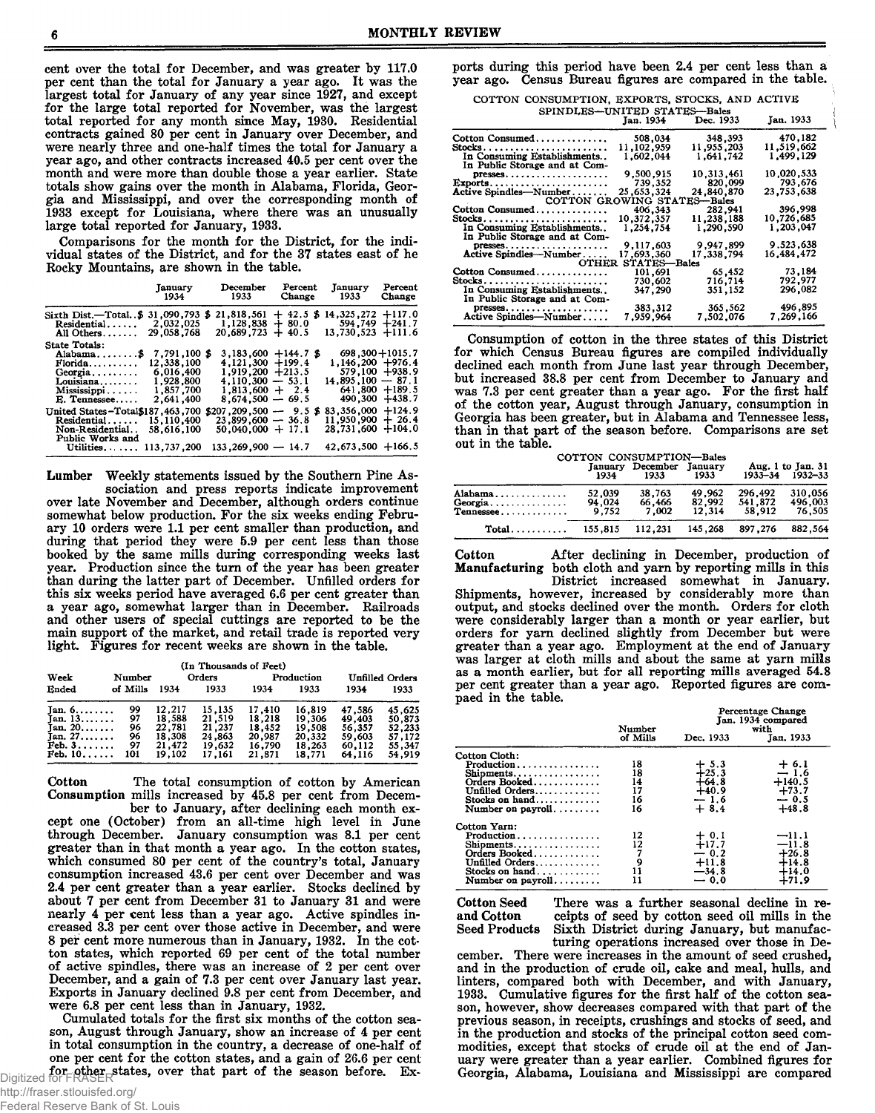cent over the total for December, and was greater by 117.0 per cent than the total for January a year ago. It was the largest total for January of any year since 1927, and except for the large total reported for November, was the largest total reported for any month since May, 1930. Residential contracts gained 80 per cent in January over December, and were nearly three and one-half times the total for January a year ago, and other contracts increased 40.5 per cent over the month and were more than double those a year earlier. State totals show gains over the month in Alabama, Florida, Georgia and Mississippi, and over the corresponding month of 1933 except for Louisiana, where there was an unusually large total reported for January, 1933.

Comparisons for the month for the District, for the individual states of the District, and for the 37 states east of he Rocky Mountains, are shown in the table.

|                                                                                                                          |                                                                                | January December<br>1934 1933                                                                              | Percent                | January<br>Change 1933                                                                     | Percent<br>Change                                          |
|--------------------------------------------------------------------------------------------------------------------------|--------------------------------------------------------------------------------|------------------------------------------------------------------------------------------------------------|------------------------|--------------------------------------------------------------------------------------------|------------------------------------------------------------|
| Sixth Dist.—Total\$<br>$Residential$<br>All Others                                                                       | 31,090,793<br>2.032.025<br>29,058,768                                          | $21,818,561 + 42.5$<br>Ъ<br>$1,128,838 + 80.0$<br>$20.689.723 + 40.5$                                      | Я                      | $14.325.272 + 117.0$<br>594,749 +241.7<br>$13,730,523 +111.6$                              |                                                            |
| State Totals:<br>$\mathbf{Florida} \dots \dots \dots$<br>$Georgia$<br>Louisiana $\dots$<br>Mississippi<br>$E.$ Tennessee | 7,791,100 \$<br>12,338,100<br>6,016,400<br>1,928,800<br>1,857,700<br>2,641,400 | $4,121,300 + 199.4$<br>$1,919,200 +213.5$<br>$4,110,300 - 53.1$<br>$1.813.600 + 2.4$<br>$8.674.500 - 69.5$ | $3,183,600 + 144.7$ \$ | $698,300 + 1015,7$<br>$1.146.200 +976.4$<br>$14.895.100 - 87.1$                            | $579,100 +938.9$<br>$641,800 + 189.5$<br>$490,300 + 438.7$ |
| United States-Total\$187,463,700<br>Residential<br>Non-Residential<br>Public Works and<br>Utilities. $\ldots$ .          | 15,110,400<br>58.616.100<br>113,737,200                                        | $$207,209,500 - 9.5$ \$<br>$23,899,600 - 36,8$<br>$50,040,000 + 17.1$<br>$133.269.900 - 14.7$              |                        | $83.356.000 + 124.9$<br>$11.950.900 + 26.4$<br>$28,731,600 + 104.0$<br>$42,673,500 +166.5$ |                                                            |

Weekly statements issued by the Southern Pine Association and press reports indicate improvement Lumber over late November and December, although orders continue somewhat below production. For the six weeks ending February 10 orders were 1.1 per cent smaller than production, and during that period they were 5.9 per cent less than those booked by the same mills during corresponding weeks last year. Production since the turn of the year has been greater than during the latter part of December. Unfilled orders for this six weeks period have averaged 6.6 per cent greater than a year ago, somewhat larger than in December. Railroads and other users of special cuttings are reported to be the main support of the market, and retail trade is reported very light. Figures for recent weeks are shown in the table.

| Week                    | Number   |        | (In Thousands of Feet)<br>Orders |        | Production |        | <b>Unfilled Orders</b> |
|-------------------------|----------|--------|----------------------------------|--------|------------|--------|------------------------|
| Ended                   | of Mills | 1934   | 1933                             | 1934   | 1933       | 1934   | 1933                   |
| $Jan. 6. \ldots \ldots$ | 99       | 12,217 | 15,135                           | 17.410 | 16,819     | 47,586 | 45.625                 |
| Jan. 13                 | 97       | 18,588 | 21.519                           | 18,218 | 19,306     | 49,403 | 50.873                 |
| Jan. $20 \ldots$        | 96       | 22,781 | 21.237                           | 18,452 | 19,508     | 56.357 | 52.233                 |
| Jan. $27$               | 96       | 18.308 | 24,863                           | 20,987 | 20,332     | 59,603 | 57,172                 |
| Feb. 3.                 | 97       | 21.472 | 19,632                           | 16,790 | 18,263     | 60,112 | 55,347                 |
| $Feb. 10. \ldots$       | 101      | 19.102 | 17.161                           | 21,871 | 18,771     | 64,116 | 54,919                 |

Cotton The total consumption of cotton by American Consumption mills increased by 45.8 per cent from Decem-

ber to January, after declining each month except one (October) from an all-time high level in June through December. January consumption was 8.1 per cent greater than in that month a year ago. In the cotton states, which consumed 80 per cent of the country's total, January consumption increased 43.6 per cent over December and was 2.4 per cent greater than a year earlier. Stocks declined by about 7 per cent from December 31 to January 31 and were nearly 4 per cent less than a year ago. Active spindles increased 3.3 per cent over those active in December, and were<br>8 per cent more numerous than in January, 1932. In the cotton states, which reported 69 per cent of the total number of active spindles, there was an increase of 2 per cent over December, and a gain of 7.3 per cent over January last year.<br>Exports in January declined 9.8 per cent from December, and were 6.8 per cent less than in January, 1932.

Cumulated totals for the first six months of the cotton season, August through January, show an increase of 4 per cent in total consumption in the country, a decrease of one-half of one per cent for the cotton states, and a gain of 26.6 per cent Digitized for ERRICHT states, over that part of the season before. Exports during this period have been 2.4 per cent less than a year ago. Census Bureau figures are compared in the table. COTTON CONSUMPTION EXPORTS STOCKS AND ACTIVE

| SPINDLES-UNITED STATES-Bales                 |              |            |               |
|----------------------------------------------|--------------|------------|---------------|
|                                              | Jan. 1934    | Dec. 1933  | Jan. 1933     |
| Cotton Consumed                              | 508,034      | 348,393    | 470.182       |
|                                              | 11,102,959   | 11,955,203 | 11,519,662    |
| In Consuming Establishments                  | 1,602,044    | 1,641,742  | 1.499.129     |
| In Public Storage and at Com-                |              |            |               |
| $p$ resses                                   | 9.500.915    | 10.313.461 | 10,020,533    |
| Exports                                      | 739.352      | 820,099    | 793.676       |
| Active Spindles-Number                       | 25.653.324   | 24.840.870 | 23,753,638    |
| COTTON GROWING STATES-Bales                  |              |            |               |
| Cotton Consumed                              | 406,343      | 282,941    | 396,998       |
| $Stocks \ldots \ldots \ldots \ldots \ldots$  | 10,372,357   | 11,238,188 | 10,726,685    |
| In Consuming Establishments                  | 1,254,754    | 1,290,590  | 1.203,047     |
| In Public Storage and at Com-                |              |            |               |
| $p$ resses                                   | 9.117.603    | 9,947,899  | 9.523.638     |
| Active Spindles--Number                      | 17,693,360   | 17,338,794 | 16.484.472    |
| <b>OTHER</b>                                 | STATES-Bales |            |               |
| Cotton Consumed                              | 101.691      | 65.452     | 73.184        |
|                                              | 730,602      | 716.714    | 792.977       |
| In Consuming Establishments                  | 347.290      | 351,152    | 296,082       |
| In Public Storage and at Com-                |              |            |               |
| $presses \ldots \ldots \ldots \ldots \ldots$ | 383,312      | 365,562    | 496,895       |
| Active Spindles-Number                       | 7,959,964    | 7,502,076  | 7 , 269 , 166 |

Consumption of cotton in the three states of this District for which Census Bureau figures are compiled individually declined each month from June last year through December, but increased 38.8 per cent from December to January and was 7.3 per cent greater than a year ago. For the first half of the cotton year, August through January, consumption in Georgia has been greater, but in Alabama and Tennessee less, than in that part of the season before. Comparisons are set out in the table.

|                                 | 1934                      | COTTON CONSUMPTION-Bales<br>January December January<br>- 1933 | - 1933                     |                              | Aug. 1 to Jan. 31<br>1933-34 1932-33 |
|---------------------------------|---------------------------|----------------------------------------------------------------|----------------------------|------------------------------|--------------------------------------|
| Alabama<br>Georgia<br>Tennessee | 52,039<br>94,024<br>9.752 | 38,763<br>66.466<br>7.002                                      | 49.962<br>82.992<br>12.314 | 296.492<br>541,872<br>58.912 | 310,056<br>496.003<br>76.505         |
| $Total \ldots$                  | 155.815                   | 112.231                                                        | 145,268                    | 897,276                      | 882.564                              |

After declining in December, production of Cotton Manufacturing both cloth and yarn by reporting mills in this

District increased somewhat in January. Shipments, however, increased by considerably more than<br>output, and stocks declined over the month. Orders for cloth were considerably larger than a month or year earlier, but orders for yarn declined slightly from December but were greater than a year ago. Employment at the end of January was larger at cloth mills and about the same at yarn mills as a month earlier, but for all reporting mills averaged 54.8 per cent greater than a year ago. Reported figures are compaed in the table.

|                                                                                                                       | Number                           | гегенияе спанке<br>Jan. 1934 compared<br>with               |                                                                |  |
|-----------------------------------------------------------------------------------------------------------------------|----------------------------------|-------------------------------------------------------------|----------------------------------------------------------------|--|
|                                                                                                                       | of Mills                         | Dec. 1933                                                   | Jan. 1933                                                      |  |
| Cotton Cloth:<br>Production<br>Shipments<br>Orders Booked<br>Unfilled Orders<br>Stocks on $hand$<br>Number on payroll | 18<br>18<br>14<br>17<br>16<br>16 | $+5.3$<br>$+25.3$<br>$+64.8$<br>$+40.9$<br>$-1.6$<br>$+8.4$ | $+ 6.1$<br>$-1.6$<br>$+140.5$<br>$+73.7$<br>$-0.5$<br>$+48.8$  |  |
| Cotton Yarn:<br>Production<br>Shipments<br>Orders Booked<br>Unfilled Orders<br>Stocks on hand<br>Number on payroll    | 12<br>12<br>9<br>11<br>11        | $+0.1$<br>$+17.7$<br>$-0.2$<br>$+11.8$<br>$-34.8$<br>$-0.0$ | $-11.1$<br>$-11.8$<br>$+26.8$<br>$+14.8$<br>$+14.0$<br>$+71.9$ |  |

**Cotton Seed** and Cotton **Seed Products** 

There was a further seasonal decline in receipts of seed by cotton seed oil mills in the Sixth District during January, but manufacturing operations increased over those in De-

cember. There were increases in the amount of seed crushed, and in the production of crude oil, cake and meal, hulls, and linters, compared both with December, and with January, 1933. Cumulative figures for the first half of the cotton season, however, show decreases compared with that part of the previous season, in receipts, crushings and stocks of seed, and in the production and stocks of the principal cotton seed commodities, except that stocks of crude oil at the end of January were greater than a year earlier. Combined figures for Georgia, Alabama, Louisiana and Mississippi are compared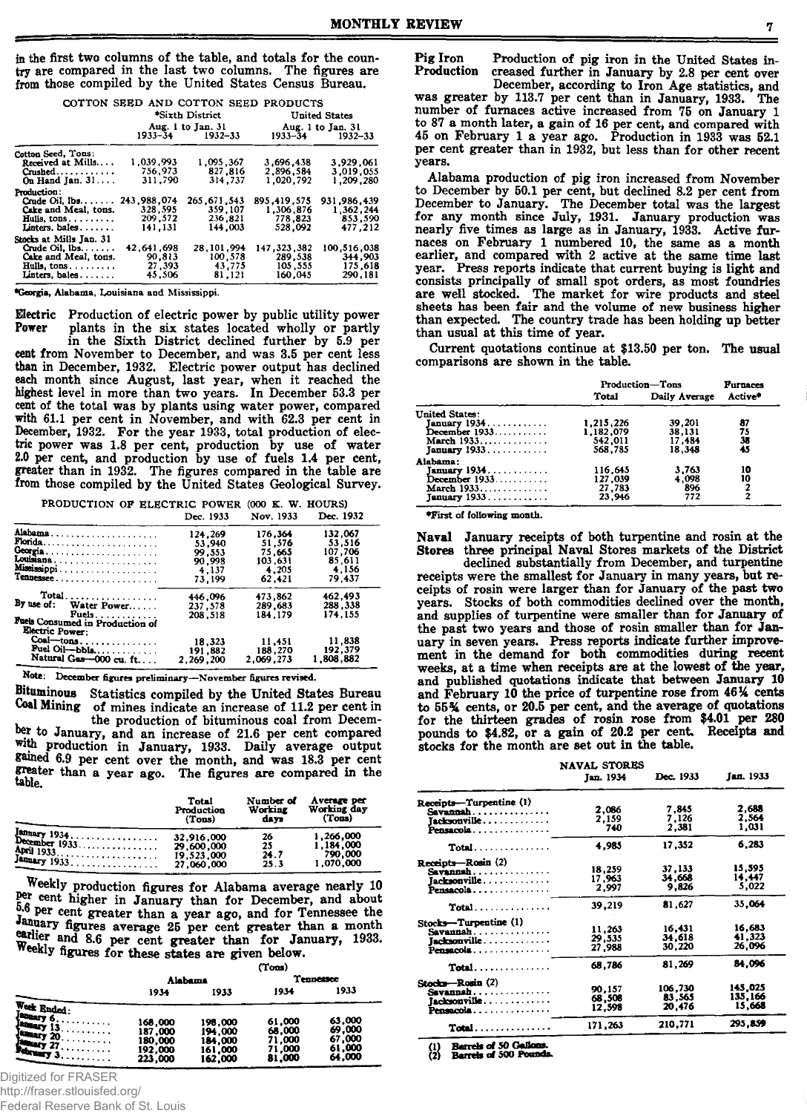in the first two columns of the table, and totals for the country are compared in the last two columns. The figures are from those compiled by the United States Census Bureau.

|                             |               | COTTON SEED AND COTTON SEED PRODUCTS<br>*Sixth District |             |                      |
|-----------------------------|---------------|---------------------------------------------------------|-------------|----------------------|
|                             |               |                                                         |             | <b>United States</b> |
|                             |               | Aug. 1 to Jan. 31                                       |             | Aug. 1 to Jan. 31    |
|                             |               | $1933 - 34$ $1932 - 33$                                 | $1933 - 34$ | 1932-33              |
| Cotton Seed, Tous:          |               |                                                         |             |                      |
| Received at Mills           | 1,039.993     | 1.095.367                                               | 3,696,438   | 3.929.061            |
| $C$ rushed                  | 756.973       | 827.816                                                 | 2,896,584   | 3.019.055            |
| On Hand Jan. 31             | 311,790       | 314,737                                                 | 1.020.792   | 1.209.280            |
| Production:                 |               |                                                         |             |                      |
| $C$ ude Oil, $10s$          | 243, 988, 074 | 265.671.543                                             | 895,419.575 | 931.986.439          |
| Cake and Meal. tons.        | 328.595       | 359.107                                                 | 1.306.876   | 1.362.244            |
| Hulls, $tons \ldots \ldots$ | 209, 572      | 236,821                                                 | 778.823     | 853,590              |
| Linters. bales              | 141.131       | 144,003                                                 | 528.092     | 477.212              |
| Stocks at Mills Jan. 31     |               |                                                         |             |                      |
| Crude Oil. $lbs$ .          | 42.641.698    | 28.101.994                                              | 147.323.382 | 100,516,038          |
| Cake and Meal, tons.        | 90.813        | 100.578                                                 | 289.538     | 344,903              |
| Hulls, tons.                | 27,393        | 43,775                                                  | 105.555     | 175.618              |
| Linters, bales              | 45.506        | 81,121                                                  | 160.045     | 290.181              |

♦Georgia, Alabama, Louisiana and Mississippi.

**Electric** Production of electric power by public utility power<br>Power plants in the six states located wholly or partly plants in the six states located wholly or partly in the Sixth District declined further by 5.9 per cent from November to December, and was 3.5 per cent less than in December, 1932. Electric power output has declined each month since August, last year, when it reached the highest level in more than two years. In December 53.3 per cent of the total was by plants using water power, compared with 61.1 per cent in November, and with 62.3 per cent in December, 1932. For the year 1933, total production of electhe power was 1.8 per cent, production by use of water 2.0 per cent, and production by use of fuels 1.4 per cent, greater than in 1932. The figures compared in the table are

from those compiled by the United States Geological Survey. PRODUCTION OF ELECTRIC POWER (000 K. W. HOURS)

|                                                    | Dec. 1933 | Nov. 1933 | Dec. 1932 |
|----------------------------------------------------|-----------|-----------|-----------|
| Alabama                                            | 124.269   | 176.364   | 132,067   |
|                                                    | 53,940    | 51.576    | 53.516    |
| Georgia                                            | 99.553    | 75.665    | 107.706   |
| Louisiana                                          | 90.998    | 103.631   | 85.611    |
| Mississippi                                        | 4.137     | 4.205     | 4.156     |
| Tennessee                                          | 73.199    | 62.421    | 79.437    |
| Total                                              | 446.096   | 473,862   | 462,493   |
| By use of: Water Power                             | 237.578   | 289.683   | 288.338   |
| Fuels                                              | 208.518   | 184.179   | 174.155   |
| Fuels Consumed in Production of<br>Electric Power: |           |           |           |
| Coal—tons                                          | 18.323    | 11.451    | 11,838    |
| Fuel Oil-bbla                                      | 191.882   | 188,270   | 192.379   |
| Natural Gas-000 cu. ft                             | 2.269.200 | 2.069.273 | 1.808.882 |

Note; December figures preliminary—November figures revised.

Bituminous Statistics compiled by the United States Bureau Coal Mining of mines indicate an increase of 11.2 per cent in the production of bituminous coal from December to January, and an increase of 21.6 per cent compared with production in January, 1933. Daily average output gained 6.9 per cent over the month, and was 18.3 per cent greater than a year ago. The figures are compared in the table.

|               | Total      | Number of | Average per |
|---------------|------------|-----------|-------------|
|               | Production | Working   | Working day |
|               | (Tons)     | days      | (Tons)      |
| January 1934. | 32.916.000 | 26        | 1,266,000   |
| December 1933 | 29.600.000 | 25        | 1.184.000   |
|               | 19.523.000 | 24.7      | 790,000     |
| January 1933. | 27,060,000 | 25.3      | 1.070.000   |

Weekly production figures for Alabama average nearly 10 per cent higher in January than for December, and about  $\sum_{k=1}^{N}$  per cent greater than a year ago, and for Tennessee the an uary figures average 25 per cent greater than a month earlier and 8.6 per cent greater than for January, 1933. Weekly figures for these states are given below.

(Tons)

|                                                                                                                                                                                                                                                                                                                                                                                                            | Alabama                                             |                                                     | <b>Tennessee</b>                               |                                                |  |
|------------------------------------------------------------------------------------------------------------------------------------------------------------------------------------------------------------------------------------------------------------------------------------------------------------------------------------------------------------------------------------------------------------|-----------------------------------------------------|-----------------------------------------------------|------------------------------------------------|------------------------------------------------|--|
|                                                                                                                                                                                                                                                                                                                                                                                                            | 1934                                                | 1933                                                | 1934                                           | 1933                                           |  |
| Week Ended:<br>January 6.<br>$\frac{1}{2}$ and $\frac{1}{2}$ and $\frac{1}{2}$ and $\frac{1}{2}$ and $\frac{1}{2}$ and $\frac{1}{2}$ and $\frac{1}{2}$ and $\frac{1}{2}$ and $\frac{1}{2}$ and $\frac{1}{2}$ and $\frac{1}{2}$ and $\frac{1}{2}$ and $\frac{1}{2}$ and $\frac{1}{2}$ and $\frac{1}{2}$ and $\frac{1}{2}$ a<br>$\frac{1}{2}$ and $\frac{1}{2}$ $\frac{1}{2}$ $\cdots$<br><b>February 3.</b> | 168.000<br>187,000<br>180.000<br>192,000<br>223,000 | 198.000<br>194,000<br>184.000<br>161,000<br>162,000 | 61,000<br>68.000<br>71,000<br>71,000<br>81,000 | 63,000<br>69,000<br>67,000<br>61,000<br>64,000 |  |

Digitized for FRASER

http://fraser.stlouisfed.org/

Federal Reserve Bank of St. Louis

**Pig Iron Production of pig iron in the United States in**creased further in January by 2.8 per cent over

**December, according to Iron Age statistics, and was greater by 113.7 per cent than in January, 1933. The number of furnaces active increased from 75 on January 1 to 87 a month later, a gain of 16 per cent, and compared with 45 on February 1 a year ago. Production in 1933 was 52.1 per cent greater than in 1932, but less than for other recent years.**

**Alabama production of pig iron increased from November to December by 50.1 per cent, but declined 8.2 per cent from December to January. The December total was the largest for any month since July, 1931. January production was nearly five times as large as in January, 1933. Active furnaces on February 1 numbered 10, the same as a month earlier, and compared with 2 active at the same time last year. Press reports indicate that current buying is light and consists principally of small spot orders, as most foundries are well stocked. The market for wire products and steel sheets has been fair and the volume of new business higher than expected. The country trade has been holding up better than usual at this time of year.**

**Current quotations continue at \$13.50 per ton. The usual comparisons are shown in the table.**

|                 | Production—Tons |               | Furnaces |  |
|-----------------|-----------------|---------------|----------|--|
|                 | Total           | Daily Average | Active*  |  |
| United States:  |                 |               |          |  |
| January 1934    | 1,215,226       | 39,201        | 87       |  |
| December $1933$ | 1.182.079       | 38,131        | 75       |  |
| March 1933      | 542,011         | 17,484        | 38       |  |
| January 1933    | 568.785         | 18.348        | 45       |  |
| Alabama:        |                 |               |          |  |
| January 1934.   | 116.645         | 3.763         | 10       |  |
| December $1933$ | 127,039         | 4.098         | 10       |  |
| March 1933      | 27,783          | 896           |          |  |
| $Tanuarv$ 1933  | 23.946          | 772           | 2        |  |

♦ F irst of following m onth.

**Naval January receipts of both turpentine and rosin at the Stores three principal Naval Stores markets of the District**

**declined substantially from December, and turpentine receipts were the smallest for January in many years, but receipts of rosin were larger than for January of the past two years. Stocks of both commodities declined over the month, and supplies of turpentine were smaller than for January of the past two years and those of rosin smaller than for January in seven years. Press reports indicate further improvement in the demand for both commodities during recent weeks, at a time when receipts are at the lowest of the year, and published quotations indicate that between January 10** and February 10 the price of turpentine rose from  $46\%$  cents **to 55% cents, or 20.5 per cent, and the average of quotations for the thirteen grades of rosin rose from \$4.01 per 280 pounds to \$4.82, or a gain of 20.2 per cent. Receipts and stocks for the month are set out in the table.**

|                         | <b>NAVAL STORES</b> |           |                  |
|-------------------------|---------------------|-----------|------------------|
|                         | Jan. 1934           | Dec. 1933 | <b>Jan.</b> 1933 |
| Receipts—Turpentine (1) |                     |           |                  |
| $S$ avannah             | 2.086               | 7.845     | 2,688            |
| Tacksonville            | 2,159               | 7.126     | 2.564            |
| Pensacola               | 740                 | 2.381     | 1.031            |
| Total                   | 4,985               | 17.352    | 6,283            |
| Receipts—Rosin (2)      |                     |           |                  |
| Savannah                | 18,259              | 37.133    | 15.595           |
| Jacksonville.           | 17,963              | 34,668    | 14.447           |
| Pensacola               | 2,997               | 9.826     | 5.022            |
| $Total$                 | 39.219              | 81.627    | 35,064           |
| Stocks-Turpentine (1)   |                     |           |                  |
| Savannah                | 11.263              | 16.431    | 16.683           |
| Jacksonville            | 29.535              | 34.618    | 41.323           |
| Pensacola               | 27.988              | 30.220    | 26,096           |
| Total                   | 68.786              | 81.269    | 84.096           |
| Stocks-Rosin (2)        |                     |           |                  |
| Savannah                | 90.157              | 106.730   | 145.025          |
| lacksonville            | 68,508              | 83.565    | 135.166          |
| Pensacola               | 12.598              | 20.476    | 15.668           |
| <b>Total</b> .          | 171.263             | 210.771   | 295.859          |

(1) Barrels of 50 Gallons.<br>(2) Barrels of 500 Pounds.